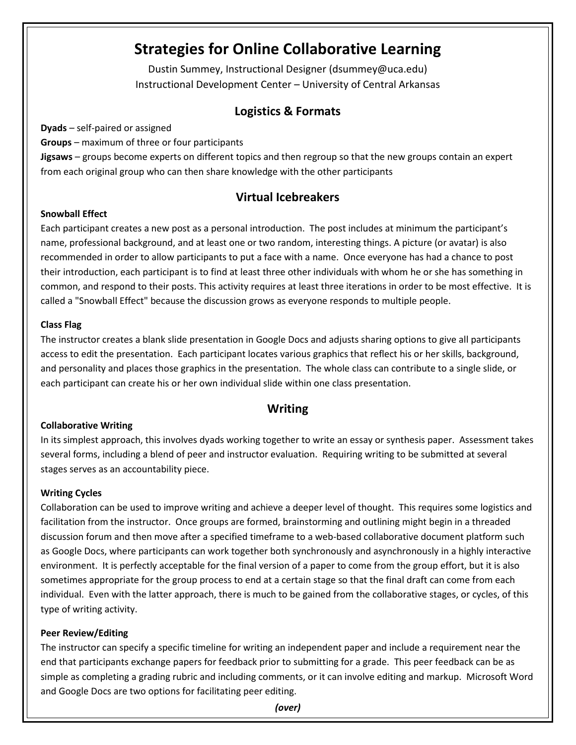# **Strategies for Online Collaborative Learning**

Dustin Summey, Instructional Designer (dsummey@uca.edu) Instructional Development Center – University of Central Arkansas

# **Logistics & Formats**

**Dyads** – self-paired or assigned

**Groups** – maximum of three or four participants

**Jigsaws** – groups become experts on different topics and then regroup so that the new groups contain an expert from each original group who can then share knowledge with the other participants

# **Virtual Icebreakers**

### **Snowball Effect**

Each participant creates a new post as a personal introduction. The post includes at minimum the participant's name, professional background, and at least one or two random, interesting things. A picture (or avatar) is also recommended in order to allow participants to put a face with a name. Once everyone has had a chance to post their introduction, each participant is to find at least three other individuals with whom he or she has something in common, and respond to their posts. This activity requires at least three iterations in order to be most effective. It is called a "Snowball Effect" because the discussion grows as everyone responds to multiple people.

### **Class Flag**

The instructor creates a blank slide presentation in Google Docs and adjusts sharing options to give all participants access to edit the presentation. Each participant locates various graphics that reflect his or her skills, background, and personality and places those graphics in the presentation. The whole class can contribute to a single slide, or each participant can create his or her own individual slide within one class presentation.

# **Writing**

# **Collaborative Writing**

In its simplest approach, this involves dyads working together to write an essay or synthesis paper. Assessment takes several forms, including a blend of peer and instructor evaluation. Requiring writing to be submitted at several stages serves as an accountability piece.

### **Writing Cycles**

Collaboration can be used to improve writing and achieve a deeper level of thought. This requires some logistics and facilitation from the instructor. Once groups are formed, brainstorming and outlining might begin in a threaded discussion forum and then move after a specified timeframe to a web-based collaborative document platform such as Google Docs, where participants can work together both synchronously and asynchronously in a highly interactive environment. It is perfectly acceptable for the final version of a paper to come from the group effort, but it is also sometimes appropriate for the group process to end at a certain stage so that the final draft can come from each individual. Even with the latter approach, there is much to be gained from the collaborative stages, or cycles, of this type of writing activity.

# **Peer Review/Editing**

The instructor can specify a specific timeline for writing an independent paper and include a requirement near the end that participants exchange papers for feedback prior to submitting for a grade. This peer feedback can be as simple as completing a grading rubric and including comments, or it can involve editing and markup. Microsoft Word and Google Docs are two options for facilitating peer editing.

*(over)*